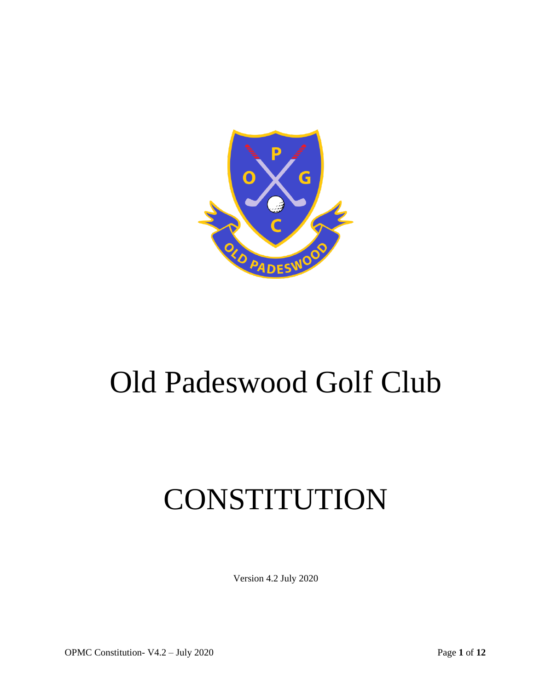

# Old Padeswood Golf Club

# CONSTITUTION

Version 4.2 July 2020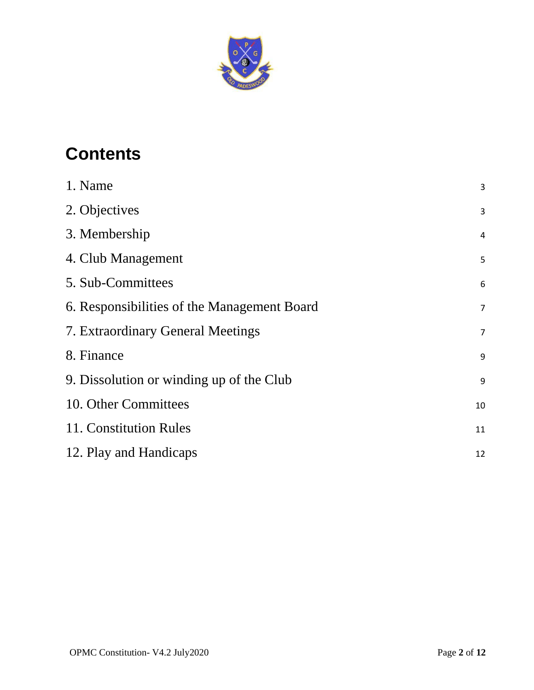

# **Contents**

| 1. Name                                     | 3                |
|---------------------------------------------|------------------|
| 2. Objectives                               | 3                |
| 3. Membership                               | $\sqrt{4}$       |
| 4. Club Management                          | 5                |
| 5. Sub-Committees                           | $\boldsymbol{6}$ |
| 6. Responsibilities of the Management Board | $\overline{7}$   |
| 7. Extraordinary General Meetings           | $\overline{7}$   |
| 8. Finance                                  | 9                |
| 9. Dissolution or winding up of the Club    | 9                |
| 10. Other Committees                        | 10               |
| 11. Constitution Rules                      | 11               |
| 12. Play and Handicaps                      | 12               |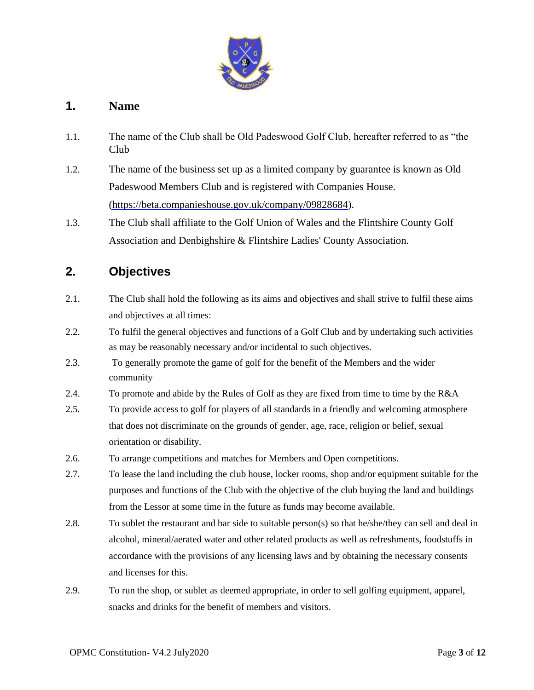

#### <span id="page-2-0"></span>**1. Name**

- 1.1. The name of the Club shall be Old Padeswood Golf Club, hereafter referred to as "the Club
- 1.2. The name of the business set up as a limited company by guarantee is known as Old Padeswood Members Club and is registered with Companies House. [\(https://beta.companieshouse.gov.uk/company/09828684\).](https://beta.companieshouse.gov.uk/company/09828684)
- 1.3. The Club shall affiliate to the Golf Union of Wales and the Flintshire County Golf Association and Denbighshire & Flintshire Ladies' County Association.

# <span id="page-2-1"></span>**2. Objectives**

- 2.1. The Club shall hold the following as its aims and objectives and shall strive to fulfil these aims and objectives at all times:
- 2.2. To fulfil the general objectives and functions of a Golf Club and by undertaking such activities as may be reasonably necessary and/or incidental to such objectives.
- 2.3. To generally promote the game of golf for the benefit of the Members and the wider community
- 2.4. To promote and abide by the Rules of Golf as they are fixed from time to time by the R&A
- 2.5. To provide access to golf for players of all standards in a friendly and welcoming atmosphere that does not discriminate on the grounds of gender, age, race, religion or belief, sexual orientation or disability.
- 2.6. To arrange competitions and matches for Members and Open competitions.
- 2.7. To lease the land including the club house, locker rooms, shop and/or equipment suitable for the purposes and functions of the Club with the objective of the club buying the land and buildings from the Lessor at some time in the future as funds may become available.
- 2.8. To sublet the restaurant and bar side to suitable person(s) so that he/she/they can sell and deal in alcohol, mineral/aerated water and other related products as well as refreshments, foodstuffs in accordance with the provisions of any licensing laws and by obtaining the necessary consents and licenses for this.
- 2.9. To run the shop, or sublet as deemed appropriate, in order to sell golfing equipment, apparel, snacks and drinks for the benefit of members and visitors.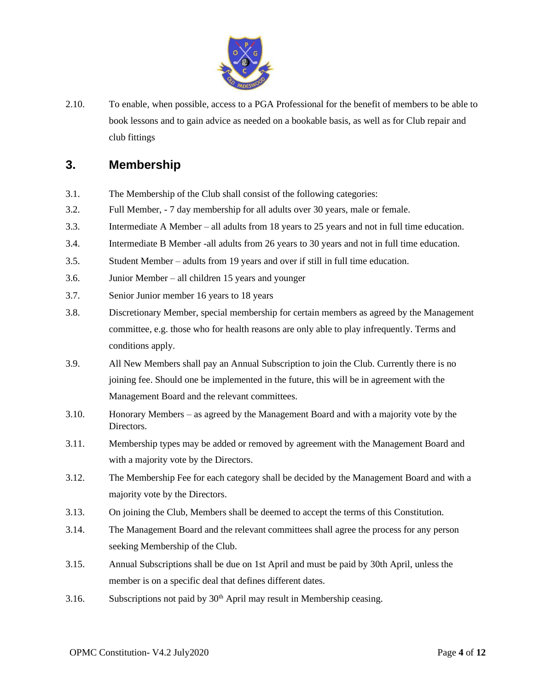

2.10. To enable, when possible, access to a PGA Professional for the benefit of members to be able to book lessons and to gain advice as needed on a bookable basis, as well as for Club repair and club fittings

#### <span id="page-3-0"></span>**3. Membership**

- 3.1. The Membership of the Club shall consist of the following categories:
- 3.2. Full Member, 7 day membership for all adults over 30 years, male or female.
- 3.3. Intermediate A Member all adults from 18 years to 25 years and not in full time education.
- 3.4. Intermediate B Member -all adults from 26 years to 30 years and not in full time education.
- 3.5. Student Member adults from 19 years and over if still in full time education.
- 3.6. Junior Member all children 15 years and younger
- 3.7. Senior Junior member 16 years to 18 years
- 3.8. Discretionary Member, special membership for certain members as agreed by the Management committee, e.g. those who for health reasons are only able to play infrequently. Terms and conditions apply.
- 3.9. All New Members shall pay an Annual Subscription to join the Club. Currently there is no joining fee. Should one be implemented in the future, this will be in agreement with the Management Board and the relevant committees.
- 3.10. Honorary Members as agreed by the Management Board and with a majority vote by the Directors.
- 3.11. Membership types may be added or removed by agreement with the Management Board and with a majority vote by the Directors.
- 3.12. The Membership Fee for each category shall be decided by the Management Board and with a majority vote by the Directors.
- 3.13. On joining the Club, Members shall be deemed to accept the terms of this Constitution.
- 3.14. The Management Board and the relevant committees shall agree the process for any person seeking Membership of the Club.
- 3.15. Annual Subscriptions shall be due on 1st April and must be paid by 30th April, unless the member is on a specific deal that defines different dates.
- 3.16. Subscriptions not paid by  $30<sup>th</sup>$  April may result in Membership ceasing.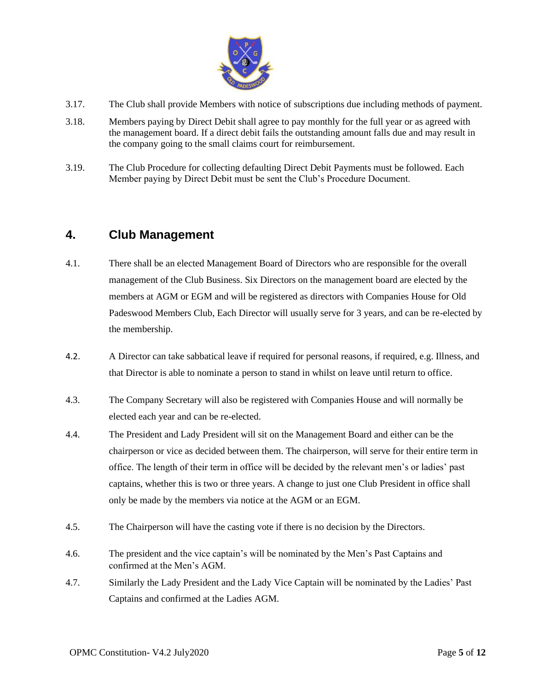

- 3.17. The Club shall provide Members with notice of subscriptions due including methods of payment.
- 3.18. Members paying by Direct Debit shall agree to pay monthly for the full year or as agreed with the management board. If a direct debit fails the outstanding amount falls due and may result in the company going to the small claims court for reimbursement.
- 3.19. The Club Procedure for collecting defaulting Direct Debit Payments must be followed. Each Member paying by Direct Debit must be sent the Club's Procedure Document.

#### <span id="page-4-0"></span>**4. Club Management**

- 4.1. There shall be an elected Management Board of Directors who are responsible for the overall management of the Club Business. Six Directors on the management board are elected by the members at AGM or EGM and will be registered as directors with Companies House for Old Padeswood Members Club, Each Director will usually serve for 3 years, and can be re-elected by the membership.
- 4.2. A Director can take sabbatical leave if required for personal reasons, if required, e.g. Illness, and that Director is able to nominate a person to stand in whilst on leave until return to office.
- 4.3. The Company Secretary will also be registered with Companies House and will normally be elected each year and can be re-elected.
- 4.4. The President and Lady President will sit on the Management Board and either can be the chairperson or vice as decided between them. The chairperson, will serve for their entire term in office. The length of their term in office will be decided by the relevant men's or ladies' past captains, whether this is two or three years. A change to just one Club President in office shall only be made by the members via notice at the AGM or an EGM.
- 4.5. The Chairperson will have the casting vote if there is no decision by the Directors.
- 4.6. The president and the vice captain's will be nominated by the Men's Past Captains and confirmed at the Men's AGM.
- 4.7. Similarly the Lady President and the Lady Vice Captain will be nominated by the Ladies' Past Captains and confirmed at the Ladies AGM.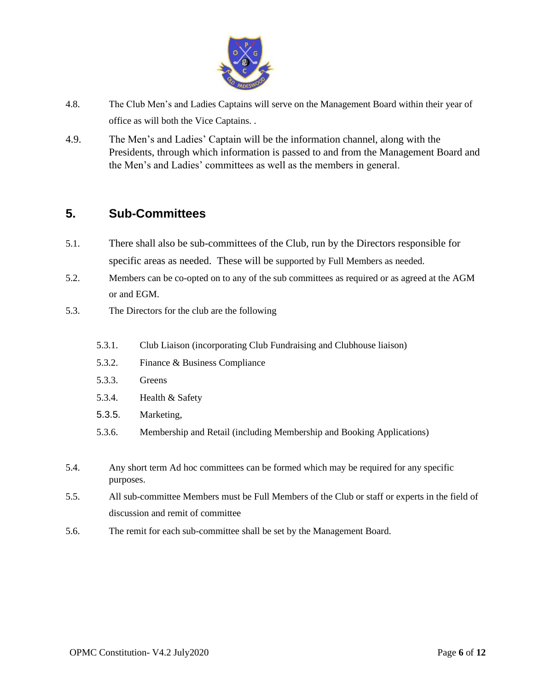

- 4.8. The Club Men's and Ladies Captains will serve on the Management Board within their year of office as will both the Vice Captains. .
- 4.9. The Men's and Ladies' Captain will be the information channel, along with the Presidents, through which information is passed to and from the Management Board and the Men's and Ladies' committees as well as the members in general.

#### <span id="page-5-0"></span>**5. Sub-Committees**

- 5.1. There shall also be sub-committees of the Club, run by the Directors responsible for specific areas as needed. These will be supported by Full Members as needed.
- 5.2. Members can be co-opted on to any of the sub committees as required or as agreed at the AGM or and EGM.
- 5.3. The Directors for the club are the following
	- 5.3.1. Club Liaison (incorporating Club Fundraising and Clubhouse liaison)
	- 5.3.2. Finance & Business Compliance
	- 5.3.3. Greens
	- 5.3.4. Health & Safety
	- 5.3.5. Marketing,
	- 5.3.6. Membership and Retail (including Membership and Booking Applications)
- 5.4. Any short term Ad hoc committees can be formed which may be required for any specific purposes.
- 5.5. All sub-committee Members must be Full Members of the Club or staff or experts in the field of discussion and remit of committee
- 5.6. The remit for each sub-committee shall be set by the Management Board.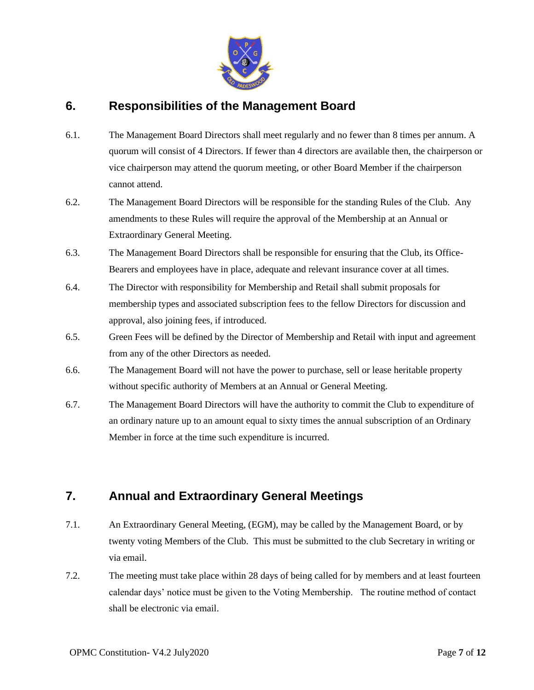

#### <span id="page-6-0"></span>**6. Responsibilities of the Management Board**

- 6.1. The Management Board Directors shall meet regularly and no fewer than 8 times per annum. A quorum will consist of 4 Directors. If fewer than 4 directors are available then, the chairperson or vice chairperson may attend the quorum meeting, or other Board Member if the chairperson cannot attend.
- 6.2. The Management Board Directors will be responsible for the standing Rules of the Club. Any amendments to these Rules will require the approval of the Membership at an Annual or Extraordinary General Meeting.
- 6.3. The Management Board Directors shall be responsible for ensuring that the Club, its Office-Bearers and employees have in place, adequate and relevant insurance cover at all times.
- 6.4. The Director with responsibility for Membership and Retail shall submit proposals for membership types and associated subscription fees to the fellow Directors for discussion and approval, also joining fees, if introduced.
- 6.5. Green Fees will be defined by the Director of Membership and Retail with input and agreement from any of the other Directors as needed.
- 6.6. The Management Board will not have the power to purchase, sell or lease heritable property without specific authority of Members at an Annual or General Meeting.
- 6.7. The Management Board Directors will have the authority to commit the Club to expenditure of an ordinary nature up to an amount equal to sixty times the annual subscription of an Ordinary Member in force at the time such expenditure is incurred.

# <span id="page-6-1"></span>**7. Annual and Extraordinary General Meetings**

- 7.1. An Extraordinary General Meeting, (EGM), may be called by the Management Board, or by twenty voting Members of the Club. This must be submitted to the club Secretary in writing or via email.
- 7.2. The meeting must take place within 28 days of being called for by members and at least fourteen calendar days' notice must be given to the Voting Membership. The routine method of contact shall be electronic via email.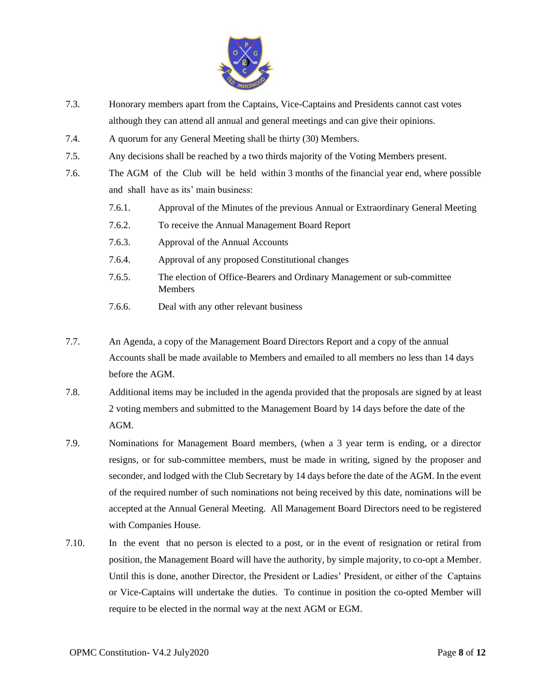

- 7.3. Honorary members apart from the Captains, Vice-Captains and Presidents cannot cast votes although they can attend all annual and general meetings and can give their opinions.
- 7.4. A quorum for any General Meeting shall be thirty (30) Members.
- 7.5. Any decisions shall be reached by a two thirds majority of the Voting Members present.
- 7.6. The AGM of the Club will be held within 3 months of the financial year end, where possible and shall have as its' main business:
	- 7.6.1. Approval of the Minutes of the previous Annual or Extraordinary General Meeting
	- 7.6.2. To receive the Annual Management Board Report
	- 7.6.3. Approval of the Annual Accounts
	- 7.6.4. Approval of any proposed Constitutional changes
	- 7.6.5. The election of Office-Bearers and Ordinary Management or sub-committee Members
	- 7.6.6. Deal with any other relevant business
- 7.7. An Agenda, a copy of the Management Board Directors Report and a copy of the annual Accounts shall be made available to Members and emailed to all members no less than 14 days before the AGM.
- 7.8. Additional items may be included in the agenda provided that the proposals are signed by at least 2 voting members and submitted to the Management Board by 14 days before the date of the AGM.
- 7.9. Nominations for Management Board members, (when a 3 year term is ending, or a director resigns, or for sub-committee members, must be made in writing, signed by the proposer and seconder, and lodged with the Club Secretary by 14 days before the date of the AGM. In the event of the required number of such nominations not being received by this date, nominations will be accepted at the Annual General Meeting. All Management Board Directors need to be registered with Companies House.
- 7.10. In the event that no person is elected to a post, or in the event of resignation or retiral from position, the Management Board will have the authority, by simple majority, to co-opt a Member. Until this is done, another Director, the President or Ladies' President, or either of the Captains or Vice-Captains will undertake the duties. To continue in position the co-opted Member will require to be elected in the normal way at the next AGM or EGM.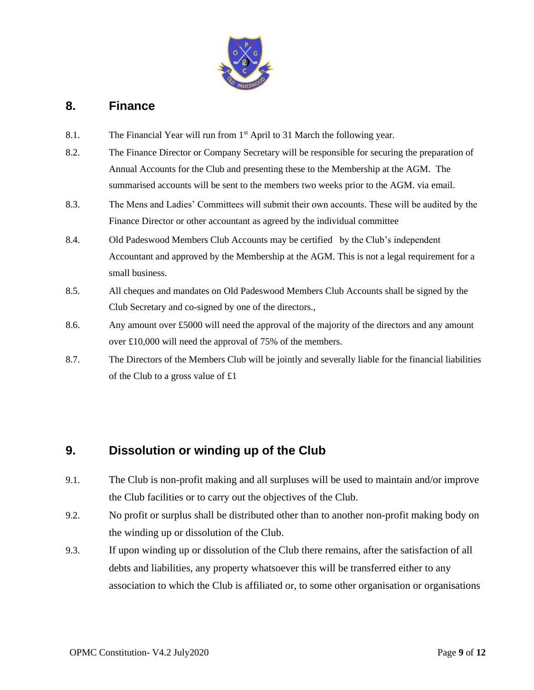

#### <span id="page-8-0"></span>**8. Finance**

- 8.1. The Financial Year will run from 1<sup>st</sup> April to 31 March the following year.
- 8.2. The Finance Director or Company Secretary will be responsible for securing the preparation of Annual Accounts for the Club and presenting these to the Membership at the AGM. The summarised accounts will be sent to the members two weeks prior to the AGM. via email.
- 8.3. The Mens and Ladies' Committees will submit their own accounts. These will be audited by the Finance Director or other accountant as agreed by the individual committee
- 8.4. Old Padeswood Members Club Accounts may be certified by the Club's independent Accountant and approved by the Membership at the AGM. This is not a legal requirement for a small business.
- 8.5. All cheques and mandates on Old Padeswood Members Club Accounts shall be signed by the Club Secretary and co-signed by one of the directors.,
- 8.6. Any amount over £5000 will need the approval of the majority of the directors and any amount over £10,000 will need the approval of 75% of the members.
- 8.7. The Directors of the Members Club will be jointly and severally liable for the financial liabilities of the Club to a gross value of £1

# <span id="page-8-1"></span>**9. Dissolution or winding up of the Club**

- 9.1. The Club is non-profit making and all surpluses will be used to maintain and/or improve the Club facilities or to carry out the objectives of the Club.
- 9.2. No profit or surplus shall be distributed other than to another non-profit making body on the winding up or dissolution of the Club.
- 9.3. If upon winding up or dissolution of the Club there remains, after the satisfaction of all debts and liabilities, any property whatsoever this will be transferred either to any association to which the Club is affiliated or, to some other organisation or organisations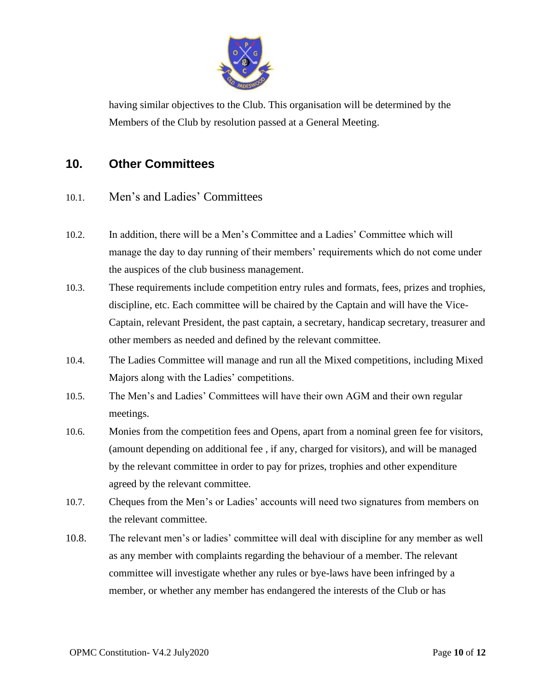

having similar objectives to the Club. This organisation will be determined by the Members of the Club by resolution passed at a General Meeting.

### <span id="page-9-0"></span>**10. Other Committees**

- 10.1. Men's and Ladies' Committees
- 10.2. In addition, there will be a Men's Committee and a Ladies' Committee which will manage the day to day running of their members' requirements which do not come under the auspices of the club business management.
- 10.3. These requirements include competition entry rules and formats, fees, prizes and trophies, discipline, etc. Each committee will be chaired by the Captain and will have the Vice-Captain, relevant President, the past captain, a secretary, handicap secretary, treasurer and other members as needed and defined by the relevant committee.
- 10.4. The Ladies Committee will manage and run all the Mixed competitions, including Mixed Majors along with the Ladies' competitions.
- 10.5. The Men's and Ladies' Committees will have their own AGM and their own regular meetings.
- 10.6. Monies from the competition fees and Opens, apart from a nominal green fee for visitors, (amount depending on additional fee , if any, charged for visitors), and will be managed by the relevant committee in order to pay for prizes, trophies and other expenditure agreed by the relevant committee.
- 10.7. Cheques from the Men's or Ladies' accounts will need two signatures from members on the relevant committee.
- 10.8. The relevant men's or ladies' committee will deal with discipline for any member as well as any member with complaints regarding the behaviour of a member. The relevant committee will investigate whether any rules or bye-laws have been infringed by a member, or whether any member has endangered the interests of the Club or has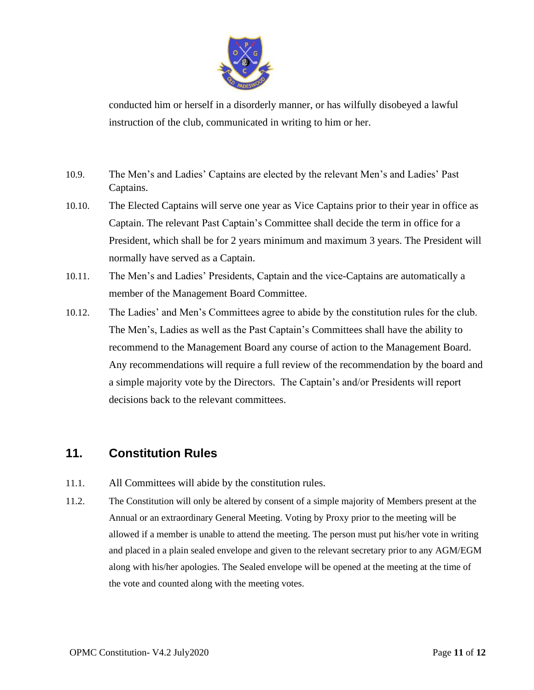

conducted him or herself in a disorderly manner, or has wilfully disobeyed a lawful instruction of the club, communicated in writing to him or her.

- 10.9. The Men's and Ladies' Captains are elected by the relevant Men's and Ladies' Past Captains.
- 10.10. The Elected Captains will serve one year as Vice Captains prior to their year in office as Captain. The relevant Past Captain's Committee shall decide the term in office for a President, which shall be for 2 years minimum and maximum 3 years. The President will normally have served as a Captain.
- 10.11. The Men's and Ladies' Presidents, Captain and the vice-Captains are automatically a member of the Management Board Committee.
- 10.12. The Ladies' and Men's Committees agree to abide by the constitution rules for the club. The Men's, Ladies as well as the Past Captain's Committees shall have the ability to recommend to the Management Board any course of action to the Management Board. Any recommendations will require a full review of the recommendation by the board and a simple majority vote by the Directors. The Captain's and/or Presidents will report decisions back to the relevant committees.

#### <span id="page-10-0"></span>**11. Constitution Rules**

- 11.1. All Committees will abide by the constitution rules.
- 11.2. The Constitution will only be altered by consent of a simple majority of Members present at the Annual or an extraordinary General Meeting. Voting by Proxy prior to the meeting will be allowed if a member is unable to attend the meeting. The person must put his/her vote in writing and placed in a plain sealed envelope and given to the relevant secretary prior to any AGM/EGM along with his/her apologies. The Sealed envelope will be opened at the meeting at the time of the vote and counted along with the meeting votes.